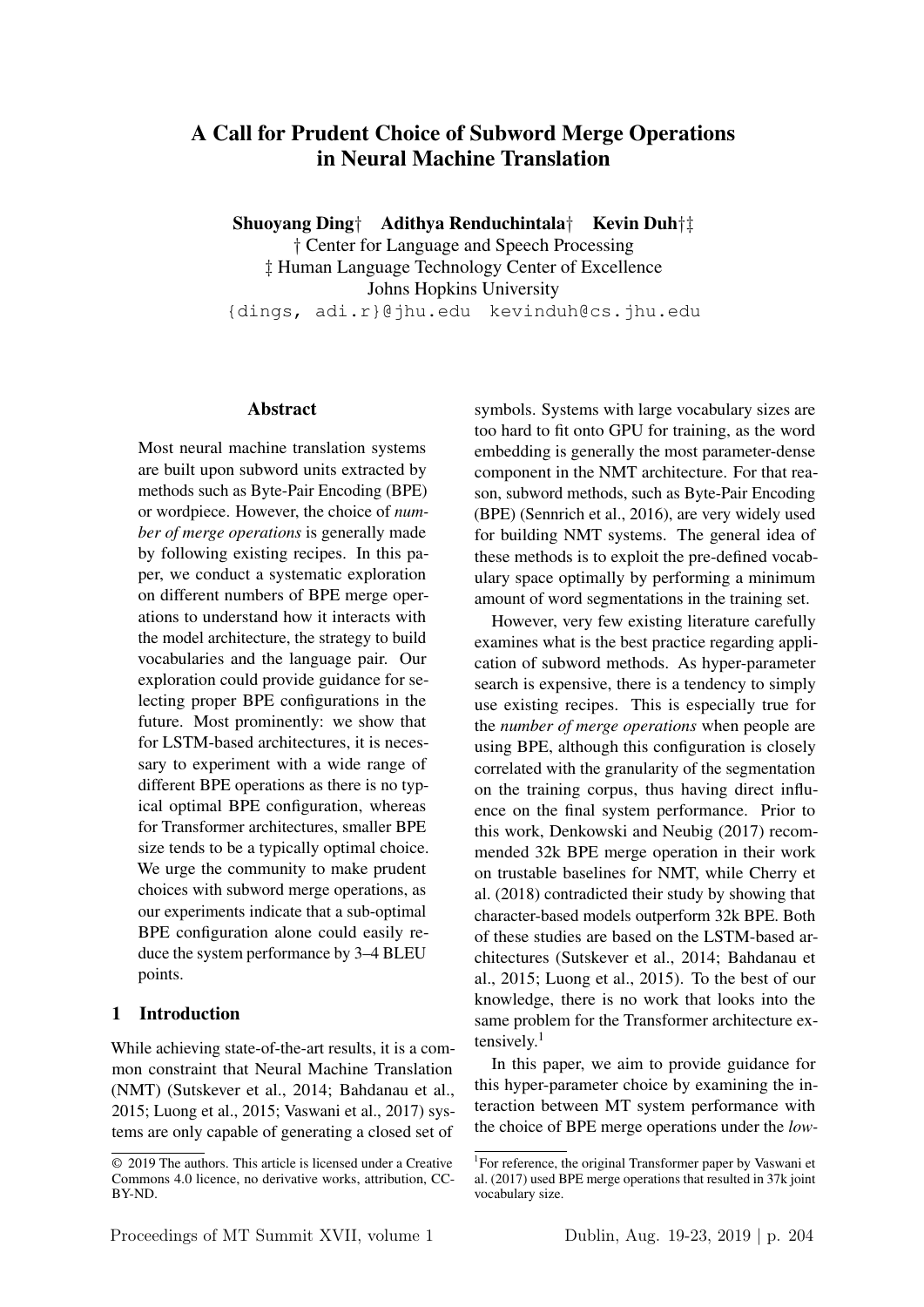# A Call for Prudent Choice of Subword Merge Operations in Neural Machine Translation

Shuoyang Ding† Adithya Renduchintala† Kevin Duh†‡ † Center for Language and Speech Processing ‡ Human Language Technology Center of Excellence Johns Hopkins University {dings, adi.r}@jhu.edu kevinduh@cs.jhu.edu

#### Abstract

Most neural machine translation systems are built upon subword units extracted by methods such as Byte-Pair Encoding (BPE) or wordpiece. However, the choice of *number of merge operations* is generally made by following existing recipes. In this paper, we conduct a systematic exploration on different numbers of BPE merge operations to understand how it interacts with the model architecture, the strategy to build vocabularies and the language pair. Our exploration could provide guidance for selecting proper BPE configurations in the future. Most prominently: we show that for LSTM-based architectures, it is necessary to experiment with a wide range of different BPE operations as there is no typical optimal BPE configuration, whereas for Transformer architectures, smaller BPE size tends to be a typically optimal choice. We urge the community to make prudent choices with subword merge operations, as our experiments indicate that a sub-optimal BPE configuration alone could easily reduce the system performance by 3–4 BLEU points.

### 1 Introduction

While achieving state-of-the-art results, it is a common constraint that Neural Machine Translation (NMT) (Sutskever et al., 2014; Bahdanau et al., 2015; Luong et al., 2015; Vaswani et al., 2017) systems are only capable of generating a closed set of

symbols. Systems with large vocabulary sizes are too hard to fit onto GPU for training, as the word embedding is generally the most parameter-dense component in the NMT architecture. For that reason, subword methods, such as Byte-Pair Encoding (BPE) (Sennrich et al., 2016), are very widely used for building NMT systems. The general idea of these methods is to exploit the pre-defined vocabulary space optimally by performing a minimum amount of word segmentations in the training set.

However, very few existing literature carefully examines what is the best practice regarding application of subword methods. As hyper-parameter search is expensive, there is a tendency to simply use existing recipes. This is especially true for the *number of merge operations* when people are using BPE, although this configuration is closely correlated with the granularity of the segmentation on the training corpus, thus having direct influence on the final system performance. Prior to this work, Denkowski and Neubig (2017) recommended 32k BPE merge operation in their work on trustable baselines for NMT, while Cherry et al. (2018) contradicted their study by showing that character-based models outperform 32k BPE. Both of these studies are based on the LSTM-based architectures (Sutskever et al., 2014; Bahdanau et al., 2015; Luong et al., 2015). To the best of our knowledge, there is no work that looks into the same problem for the Transformer architecture extensively.<sup>1</sup>

In this paper, we aim to provide guidance for this hyper-parameter choice by examining the interaction between MT system performance with the choice of BPE merge operations under the *low-*

<sup>©</sup> 2019 The authors. This article is licensed under a Creative Commons 4.0 licence, no derivative works, attribution, CC-BY-ND.

<sup>&</sup>lt;sup>1</sup>For reference, the original Transformer paper by Vaswani et al. (2017) used BPE merge operations that resulted in 37k joint vocabulary size.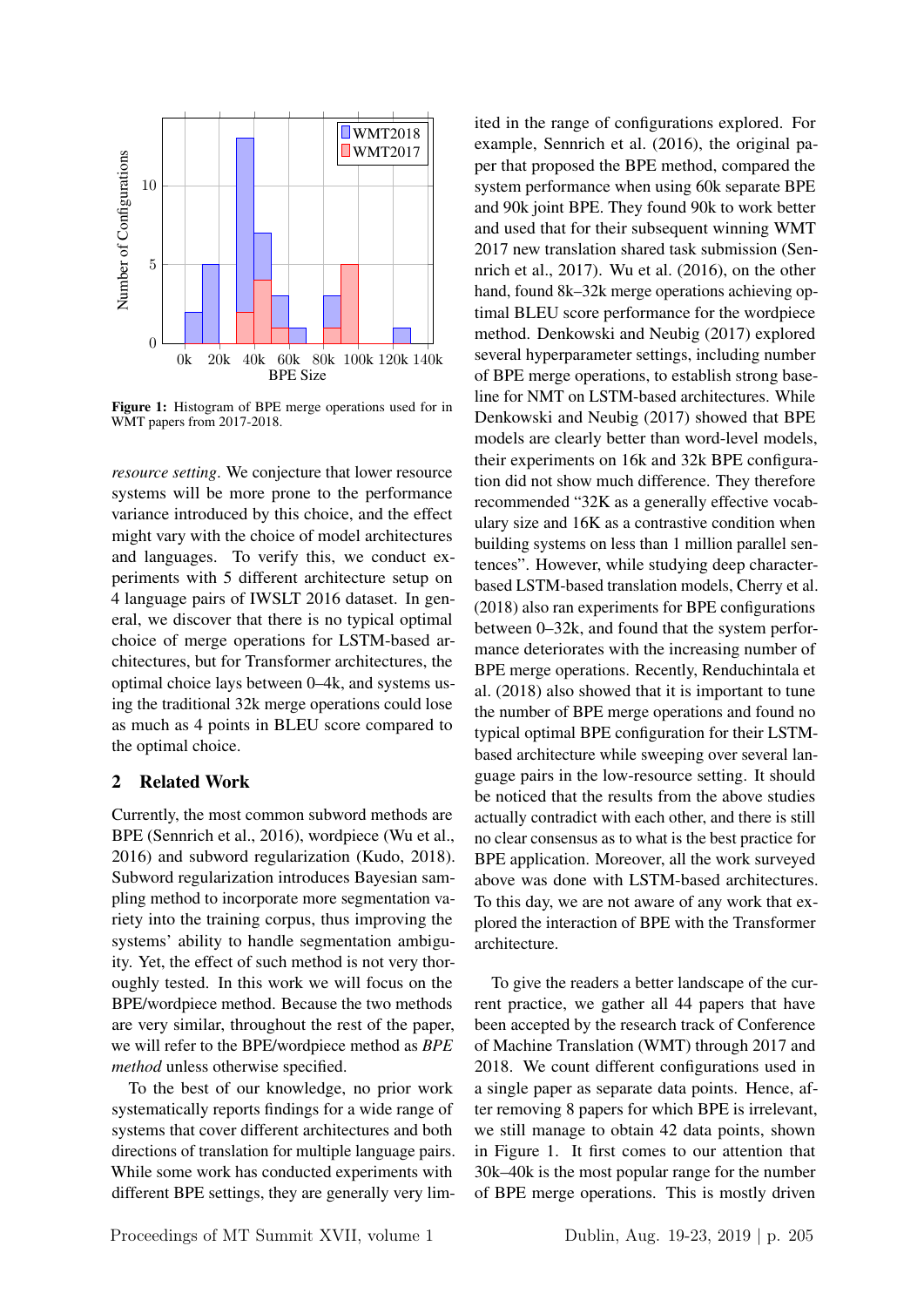

Figure 1: Histogram of BPE merge operations used for in WMT papers from 2017-2018.

*resource setting*. We conjecture that lower resource systems will be more prone to the performance variance introduced by this choice, and the effect might vary with the choice of model architectures and languages. To verify this, we conduct experiments with 5 different architecture setup on 4 language pairs of IWSLT 2016 dataset. In general, we discover that there is no typical optimal choice of merge operations for LSTM-based architectures, but for Transformer architectures, the optimal choice lays between 0–4k, and systems using the traditional 32k merge operations could lose as much as 4 points in BLEU score compared to the optimal choice.

#### 2 Related Work

Currently, the most common subword methods are BPE (Sennrich et al., 2016), wordpiece (Wu et al., 2016) and subword regularization (Kudo, 2018). Subword regularization introduces Bayesian sampling method to incorporate more segmentation variety into the training corpus, thus improving the systems' ability to handle segmentation ambiguity. Yet, the effect of such method is not very thoroughly tested. In this work we will focus on the BPE/wordpiece method. Because the two methods are very similar, throughout the rest of the paper, we will refer to the BPE/wordpiece method as *BPE method* unless otherwise specified.

To the best of our knowledge, no prior work systematically reports findings for a wide range of systems that cover different architectures and both directions of translation for multiple language pairs. While some work has conducted experiments with different BPE settings, they are generally very limited in the range of configurations explored. For example, Sennrich et al. (2016), the original paper that proposed the BPE method, compared the system performance when using 60k separate BPE and 90k joint BPE. They found 90k to work better and used that for their subsequent winning WMT 2017 new translation shared task submission (Sennrich et al., 2017). Wu et al. (2016), on the other hand, found 8k–32k merge operations achieving optimal BLEU score performance for the wordpiece method. Denkowski and Neubig (2017) explored several hyperparameter settings, including number of BPE merge operations, to establish strong baseline for NMT on LSTM-based architectures. While Denkowski and Neubig (2017) showed that BPE models are clearly better than word-level models, their experiments on 16k and 32k BPE configuration did not show much difference. They therefore recommended "32K as a generally effective vocabulary size and 16K as a contrastive condition when building systems on less than 1 million parallel sentences". However, while studying deep characterbased LSTM-based translation models, Cherry et al. (2018) also ran experiments for BPE configurations between 0–32k, and found that the system performance deteriorates with the increasing number of BPE merge operations. Recently, Renduchintala et al. (2018) also showed that it is important to tune the number of BPE merge operations and found no typical optimal BPE configuration for their LSTMbased architecture while sweeping over several language pairs in the low-resource setting. It should be noticed that the results from the above studies actually contradict with each other, and there is still no clear consensus as to what is the best practice for BPE application. Moreover, all the work surveyed above was done with LSTM-based architectures. To this day, we are not aware of any work that explored the interaction of BPE with the Transformer architecture.

To give the readers a better landscape of the current practice, we gather all 44 papers that have been accepted by the research track of Conference of Machine Translation (WMT) through 2017 and 2018. We count different configurations used in a single paper as separate data points. Hence, after removing 8 papers for which BPE is irrelevant, we still manage to obtain 42 data points, shown in Figure 1. It first comes to our attention that 30k–40k is the most popular range for the number of BPE merge operations. This is mostly driven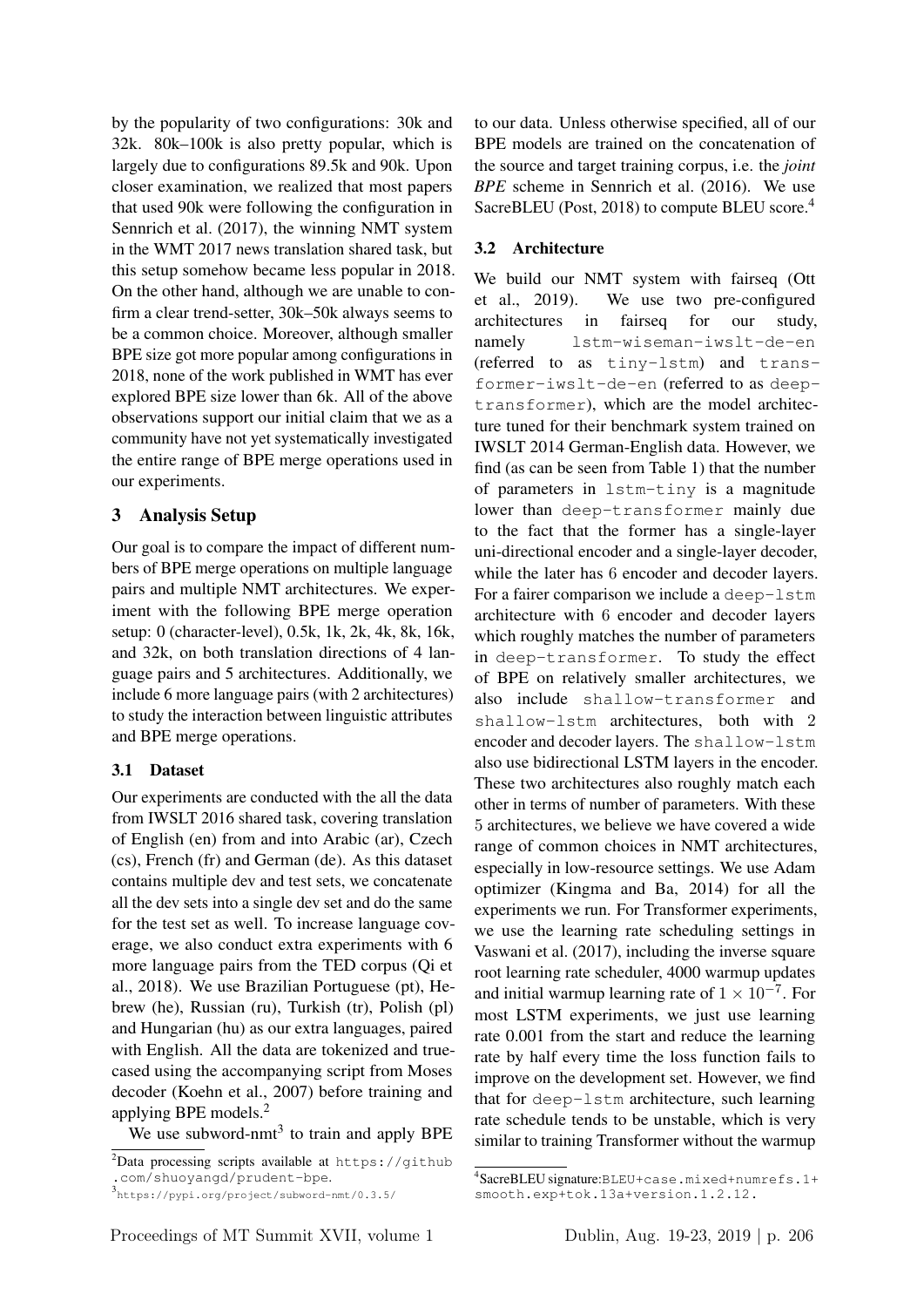by the popularity of two configurations: 30k and 32k. 80k–100k is also pretty popular, which is largely due to configurations 89.5k and 90k. Upon closer examination, we realized that most papers that used 90k were following the configuration in Sennrich et al. (2017), the winning NMT system in the WMT 2017 news translation shared task, but this setup somehow became less popular in 2018. On the other hand, although we are unable to confirm a clear trend-setter, 30k–50k always seems to be a common choice. Moreover, although smaller BPE size got more popular among configurations in 2018, none of the work published in WMT has ever explored BPE size lower than 6k. All of the above observations support our initial claim that we as a community have not yet systematically investigated the entire range of BPE merge operations used in our experiments.

## 3 Analysis Setup

Our goal is to compare the impact of different numbers of BPE merge operations on multiple language pairs and multiple NMT architectures. We experiment with the following BPE merge operation setup: 0 (character-level), 0.5k, 1k, 2k, 4k, 8k, 16k, and 32k, on both translation directions of 4 language pairs and 5 architectures. Additionally, we include 6 more language pairs (with 2 architectures) to study the interaction between linguistic attributes and BPE merge operations.

### 3.1 Dataset

Our experiments are conducted with the all the data from IWSLT 2016 shared task, covering translation of English (en) from and into Arabic (ar), Czech (cs), French (fr) and German (de). As this dataset contains multiple dev and test sets, we concatenate all the dev sets into a single dev set and do the same for the test set as well. To increase language coverage, we also conduct extra experiments with 6 more language pairs from the TED corpus (Qi et al., 2018). We use Brazilian Portuguese (pt), Hebrew (he), Russian (ru), Turkish (tr), Polish (pl) and Hungarian (hu) as our extra languages, paired with English. All the data are tokenized and truecased using the accompanying script from Moses decoder (Koehn et al., 2007) before training and applying BPE models.<sup>2</sup>

We use subword-nmt<sup>3</sup> to train and apply BPE

to our data. Unless otherwise specified, all of our BPE models are trained on the concatenation of the source and target training corpus, i.e. the *joint BPE* scheme in Sennrich et al. (2016). We use SacreBLEU (Post, 2018) to compute BLEU score.<sup>4</sup>

## 3.2 Architecture

We build our NMT system with fairseq (Ott et al., 2019). We use two pre-configured architectures in fairseq for our study, namely lstm-wiseman-iwslt-de-en (referred to as tiny-lstm) and transformer-iwslt-de-en (referred to as deeptransformer), which are the model architecture tuned for their benchmark system trained on IWSLT 2014 German-English data. However, we find (as can be seen from Table 1) that the number of parameters in lstm-tiny is a magnitude lower than deep-transformer mainly due to the fact that the former has a single-layer uni-directional encoder and a single-layer decoder, while the later has 6 encoder and decoder layers. For a fairer comparison we include a deep-lstm architecture with 6 encoder and decoder layers which roughly matches the number of parameters in deep-transformer. To study the effect of BPE on relatively smaller architectures, we also include shallow-transformer and shallow-lstm architectures, both with 2 encoder and decoder layers. The shallow-lstm also use bidirectional LSTM layers in the encoder. These two architectures also roughly match each other in terms of number of parameters. With these 5 architectures, we believe we have covered a wide range of common choices in NMT architectures, especially in low-resource settings. We use Adam optimizer (Kingma and Ba, 2014) for all the experiments we run. For Transformer experiments, we use the learning rate scheduling settings in Vaswani et al. (2017), including the inverse square root learning rate scheduler, 4000 warmup updates and initial warmup learning rate of  $1 \times 10^{-7}$ . For most LSTM experiments, we just use learning rate 0.001 from the start and reduce the learning rate by half every time the loss function fails to improve on the development set. However, we find that for deep-lstm architecture, such learning rate schedule tends to be unstable, which is very similar to training Transformer without the warmup

 $2$ Data processing scripts available at https://github .com/shuoyangd/prudent-bpe.

<sup>3</sup> https://pypi.org/project/subword-nmt/0.3.5/

<sup>4</sup> SacreBLEU signature:BLEU+case.mixed+numrefs.1+ smooth.exp+tok.13a+version.1.2.12.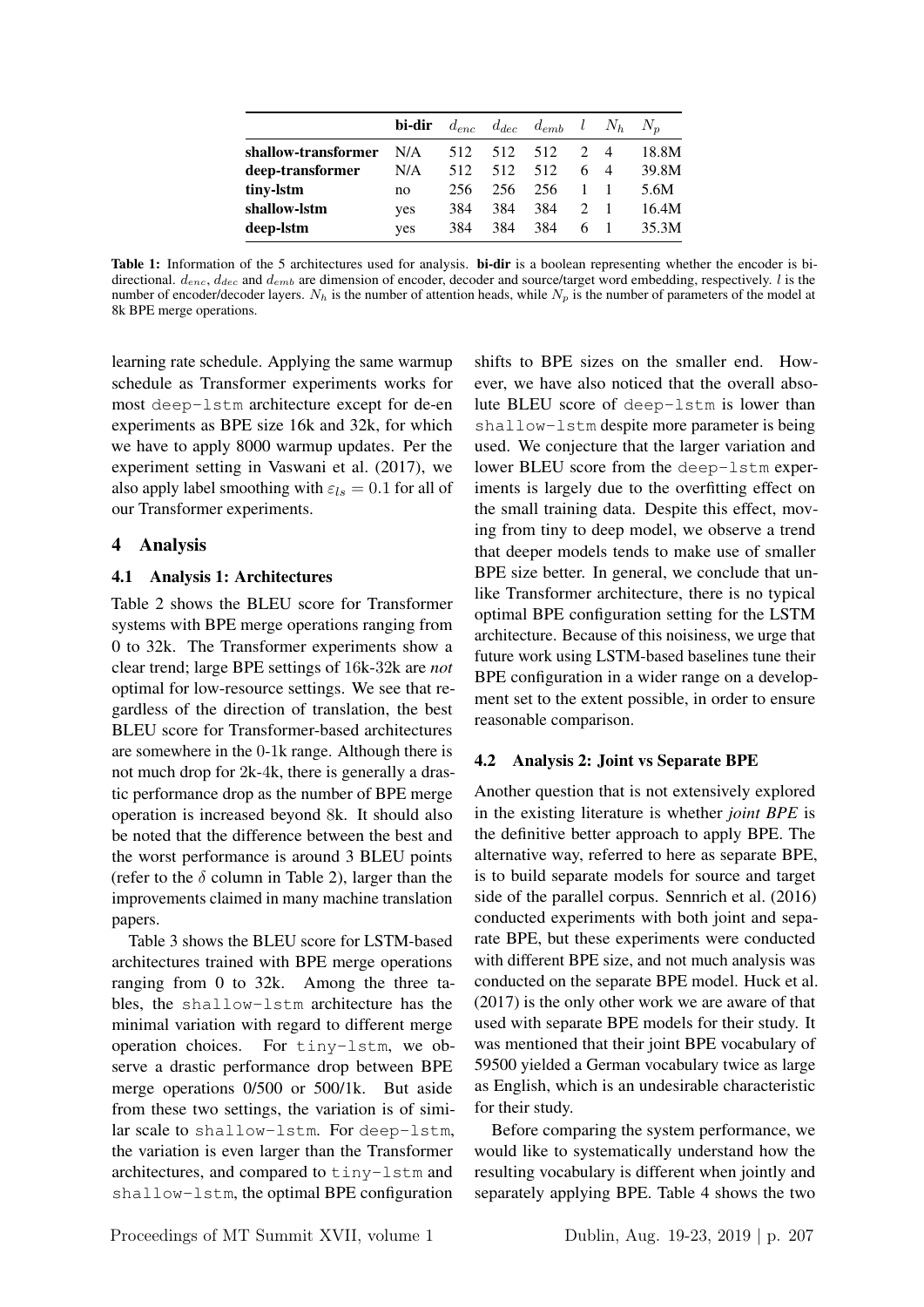|                     | bi-dir | $d_{enc}$ |     | $d_{dec}$ $d_{emb}$ $l$ $N_h$ $N_p$ |               |                |       |
|---------------------|--------|-----------|-----|-------------------------------------|---------------|----------------|-------|
| shallow-transformer | N/A    | 512       | 512 | 512                                 | $\mathcal{D}$ |                | 18.8M |
| deep-transformer    | N/A    | 512       | 512 | 512                                 | 6.            | $\overline{4}$ | 39.8M |
| tiny-lstm           | no     | 256       | 256 | 256                                 |               |                | 5.6M  |
| shallow-lstm        | yes    | 384       | 384 | 384                                 |               |                | 16.4M |
| deep-1stm           | yes    | 384       | 384 | 384                                 | 6             |                | 35.3M |

Table 1: Information of the 5 architectures used for analysis. bi-dir is a boolean representing whether the encoder is bidirectional.  $d_{enc}$ ,  $d_{dec}$  and  $d_{emb}$  are dimension of encoder, decoder and source/target word embedding, respectively. l is the number of encoder/decoder layers.  $N_h$  is the number of attention heads, while  $N_p$  is the number of parameters of the model at 8k BPE merge operations.

learning rate schedule. Applying the same warmup schedule as Transformer experiments works for most deep-lstm architecture except for de-en experiments as BPE size 16k and 32k, for which we have to apply 8000 warmup updates. Per the experiment setting in Vaswani et al. (2017), we also apply label smoothing with  $\varepsilon_{ls} = 0.1$  for all of our Transformer experiments.

#### 4 Analysis

#### 4.1 Analysis 1: Architectures

Table 2 shows the BLEU score for Transformer systems with BPE merge operations ranging from 0 to 32k. The Transformer experiments show a clear trend; large BPE settings of 16k-32k are *not* optimal for low-resource settings. We see that regardless of the direction of translation, the best BLEU score for Transformer-based architectures are somewhere in the 0-1k range. Although there is not much drop for 2k-4k, there is generally a drastic performance drop as the number of BPE merge operation is increased beyond 8k. It should also be noted that the difference between the best and the worst performance is around 3 BLEU points (refer to the  $\delta$  column in Table 2), larger than the improvements claimed in many machine translation papers.

Table 3 shows the BLEU score for LSTM-based architectures trained with BPE merge operations ranging from 0 to 32k. Among the three tables, the shallow-lstm architecture has the minimal variation with regard to different merge operation choices. For tiny-lstm, we observe a drastic performance drop between BPE merge operations 0/500 or 500/1k. But aside from these two settings, the variation is of similar scale to shallow-lstm. For deep-lstm, the variation is even larger than the Transformer architectures, and compared to tiny-lstm and shallow-lstm, the optimal BPE configuration

shifts to BPE sizes on the smaller end. However, we have also noticed that the overall absolute BLEU score of deep-lstm is lower than shallow-lstm despite more parameter is being used. We conjecture that the larger variation and lower BLEU score from the deep-lstm experiments is largely due to the overfitting effect on the small training data. Despite this effect, moving from tiny to deep model, we observe a trend that deeper models tends to make use of smaller BPE size better. In general, we conclude that unlike Transformer architecture, there is no typical optimal BPE configuration setting for the LSTM architecture. Because of this noisiness, we urge that future work using LSTM-based baselines tune their BPE configuration in a wider range on a development set to the extent possible, in order to ensure reasonable comparison.

#### 4.2 Analysis 2: Joint vs Separate BPE

Another question that is not extensively explored in the existing literature is whether *joint BPE* is the definitive better approach to apply BPE. The alternative way, referred to here as separate BPE, is to build separate models for source and target side of the parallel corpus. Sennrich et al. (2016) conducted experiments with both joint and separate BPE, but these experiments were conducted with different BPE size, and not much analysis was conducted on the separate BPE model. Huck et al. (2017) is the only other work we are aware of that used with separate BPE models for their study. It was mentioned that their joint BPE vocabulary of 59500 yielded a German vocabulary twice as large as English, which is an undesirable characteristic for their study.

Before comparing the system performance, we would like to systematically understand how the resulting vocabulary is different when jointly and separately applying BPE. Table 4 shows the two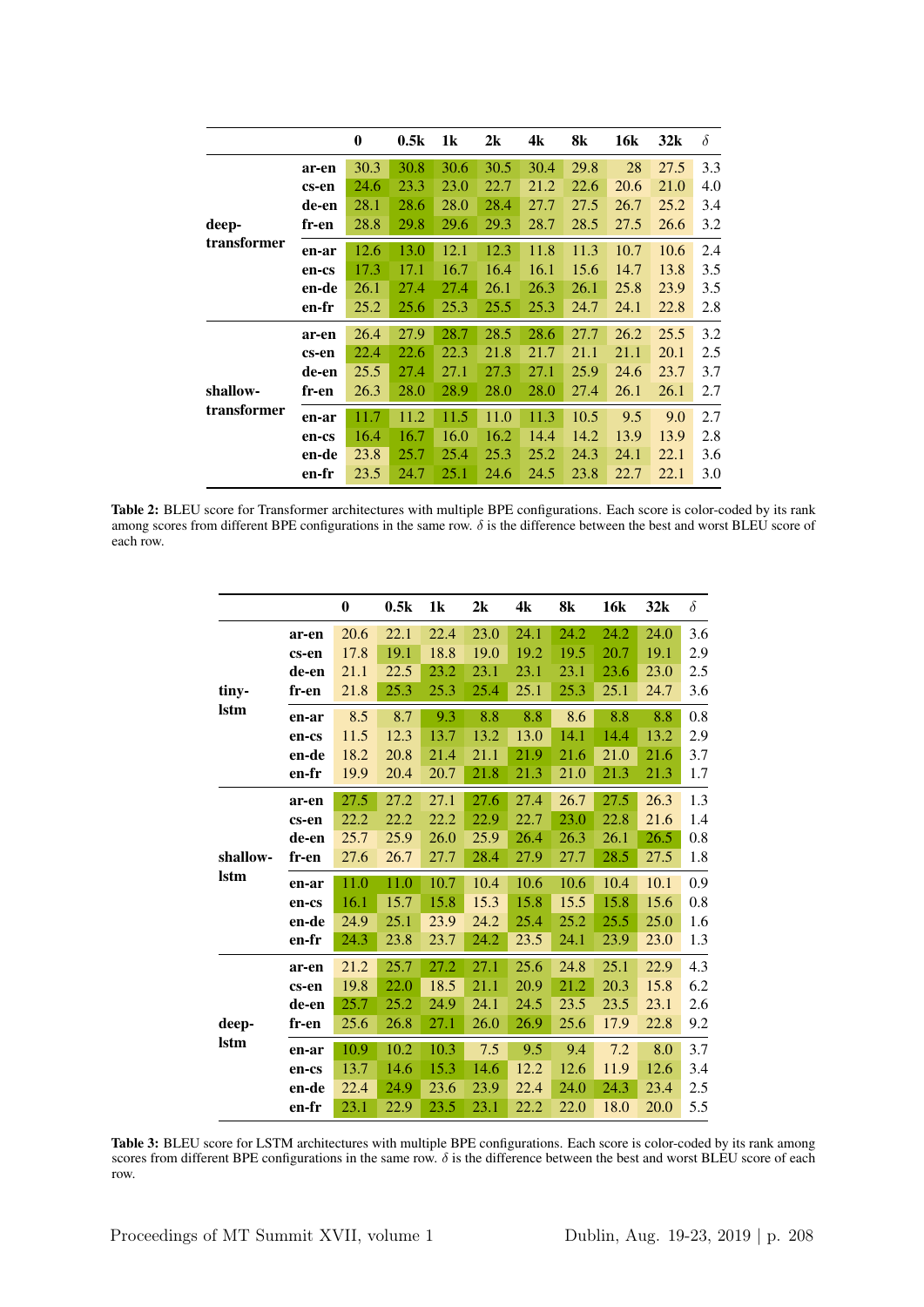|             |       | $\boldsymbol{0}$ | 0.5k | 1k   | 2k   | 4k   | 8k   | 16k  | 32k  | $\delta$ |
|-------------|-------|------------------|------|------|------|------|------|------|------|----------|
|             | ar-en | 30.3             | 30.8 | 30.6 | 30.5 | 30.4 | 29.8 | 28   | 27.5 | 3.3      |
|             | cs-en | 24.6             | 23.3 | 23.0 | 22.7 | 21.2 | 22.6 | 20.6 | 21.0 | 4.0      |
|             | de-en | 28.1             | 28.6 | 28.0 | 28.4 | 27.7 | 27.5 | 26.7 | 25.2 | 3.4      |
| deep-       | fr-en | 28.8             | 29.8 | 29.6 | 29.3 | 28.7 | 28.5 | 27.5 | 26.6 | 3.2      |
| transformer | en-ar | 12.6             | 13.0 | 12.1 | 12.3 | 11.8 | 11.3 | 10.7 | 10.6 | 2.4      |
|             | en-cs | 17.3             | 17.1 | 16.7 | 16.4 | 16.1 | 15.6 | 14.7 | 13.8 | 3.5      |
|             | en-de | 26.1             | 27.4 | 27.4 | 26.1 | 26.3 | 26.1 | 25.8 | 23.9 | 3.5      |
|             | en-fr | 25.2             | 25.6 | 25.3 | 25.5 | 25.3 | 24.7 | 24.1 | 22.8 | 2.8      |
|             | ar-en | 26.4             | 27.9 | 28.7 | 28.5 | 28.6 | 27.7 | 26.2 | 25.5 | 3.2      |
|             | cs-en | 22.4             | 22.6 | 22.3 | 21.8 | 21.7 | 21.1 | 21.1 | 20.1 | 2.5      |
|             | de-en | 25.5             | 27.4 | 27.1 | 27.3 | 27.1 | 25.9 | 24.6 | 23.7 | 3.7      |
| shallow-    | fr-en | 26.3             | 28.0 | 28.9 | 28.0 | 28.0 | 27.4 | 26.1 | 26.1 | 2.7      |
| transformer | en-ar | 11.7             | 11.2 | 11.5 | 11.0 | 11.3 | 10.5 | 9.5  | 9.0  | 2.7      |
|             | en-cs | 16.4             | 16.7 | 16.0 | 16.2 | 14.4 | 14.2 | 13.9 | 13.9 | 2.8      |
|             | en-de | 23.8             | 25.7 | 25.4 | 25.3 | 25.2 | 24.3 | 24.1 | 22.1 | 3.6      |
|             | en-fr | 23.5             | 24.7 | 25.1 | 24.6 | 24.5 | 23.8 | 22.7 | 22.1 | 3.0      |

Table 2: BLEU score for Transformer architectures with multiple BPE configurations. Each score is color-coded by its rank among scores from different BPE configurations in the same row.  $\delta$  is the difference between the best and worst BLEU score of each row.

|             |       | $\boldsymbol{0}$ | 0.5k | 1k   | 2k   | 4k   | 8k   | <b>16k</b> | 32k  | $\delta$ |
|-------------|-------|------------------|------|------|------|------|------|------------|------|----------|
|             | ar-en | 20.6             | 22.1 | 22.4 | 23.0 | 24.1 | 24.2 | 24.2       | 24.0 | 3.6      |
|             | cs-en | 17.8             | 19.1 | 18.8 | 19.0 | 19.2 | 19.5 | 20.7       | 19.1 | 2.9      |
|             | de-en | 21.1             | 22.5 | 23.2 | 23.1 | 23.1 | 23.1 | 23.6       | 23.0 | 2.5      |
| tiny-       | fr-en | 21.8             | 25.3 | 25.3 | 25.4 | 25.1 | 25.3 | 25.1       | 24.7 | 3.6      |
| <b>Istm</b> | en-ar | 8.5              | 8.7  | 9.3  | 8.8  | 8.8  | 8.6  | 8.8        | 8.8  | 0.8      |
|             | en-cs | 11.5             | 12.3 | 13.7 | 13.2 | 13.0 | 14.1 | 14.4       | 13.2 | 2.9      |
|             | en-de | 18.2             | 20.8 | 21.4 | 21.1 | 21.9 | 21.6 | 21.0       | 21.6 | 3.7      |
|             | en-fr | 19.9             | 20.4 | 20.7 | 21.8 | 21.3 | 21.0 | 21.3       | 21.3 | 1.7      |
|             | ar-en | 27.5             | 27.2 | 27.1 | 27.6 | 27.4 | 26.7 | 27.5       | 26.3 | 1.3      |
|             | cs-en | 22.2             | 22.2 | 22.2 | 22.9 | 22.7 | 23.0 | 22.8       | 21.6 | 1.4      |
|             | de-en | 25.7             | 25.9 | 26.0 | 25.9 | 26.4 | 26.3 | 26.1       | 26.5 | 0.8      |
| shallow-    | fr-en | 27.6             | 26.7 | 27.7 | 28.4 | 27.9 | 27.7 | 28.5       | 27.5 | 1.8      |
| <b>Istm</b> | en-ar | 11.0             | 11.0 | 10.7 | 10.4 | 10.6 | 10.6 | 10.4       | 10.1 | 0.9      |
|             | en-cs | 16.1             | 15.7 | 15.8 | 15.3 | 15.8 | 15.5 | 15.8       | 15.6 | 0.8      |
|             | en-de | 24.9             | 25.1 | 23.9 | 24.2 | 25.4 | 25.2 | 25.5       | 25.0 | 1.6      |
|             | en-fr | 24.3             | 23.8 | 23.7 | 24.2 | 23.5 | 24.1 | 23.9       | 23.0 | 1.3      |
|             | ar-en | 21.2             | 25.7 | 27.2 | 27.1 | 25.6 | 24.8 | 25.1       | 22.9 | 4.3      |
|             | cs-en | 19.8             | 22.0 | 18.5 | 21.1 | 20.9 | 21.2 | 20.3       | 15.8 | 6.2      |
|             | de-en | 25.7             | 25.2 | 24.9 | 24.1 | 24.5 | 23.5 | 23.5       | 23.1 | 2.6      |
| deep-       | fr-en | 25.6             | 26.8 | 27.1 | 26.0 | 26.9 | 25.6 | 17.9       | 22.8 | 9.2      |
| <b>Istm</b> | en-ar | 10.9             | 10.2 | 10.3 | 7.5  | 9.5  | 9.4  | 7.2        | 8.0  | 3.7      |
|             | en-cs | 13.7             | 14.6 | 15.3 | 14.6 | 12.2 | 12.6 | 11.9       | 12.6 | 3.4      |
|             | en-de | 22.4             | 24.9 | 23.6 | 23.9 | 22.4 | 24.0 | 24.3       | 23.4 | 2.5      |
|             | en-fr | 23.1             | 22.9 | 23.5 | 23.1 | 22.2 | 22.0 | 18.0       | 20.0 | 5.5      |

Table 3: BLEU score for LSTM architectures with multiple BPE configurations. Each score is color-coded by its rank among scores from different BPE configurations in the same row.  $\delta$  is the difference between the best and worst BLEU score of each row.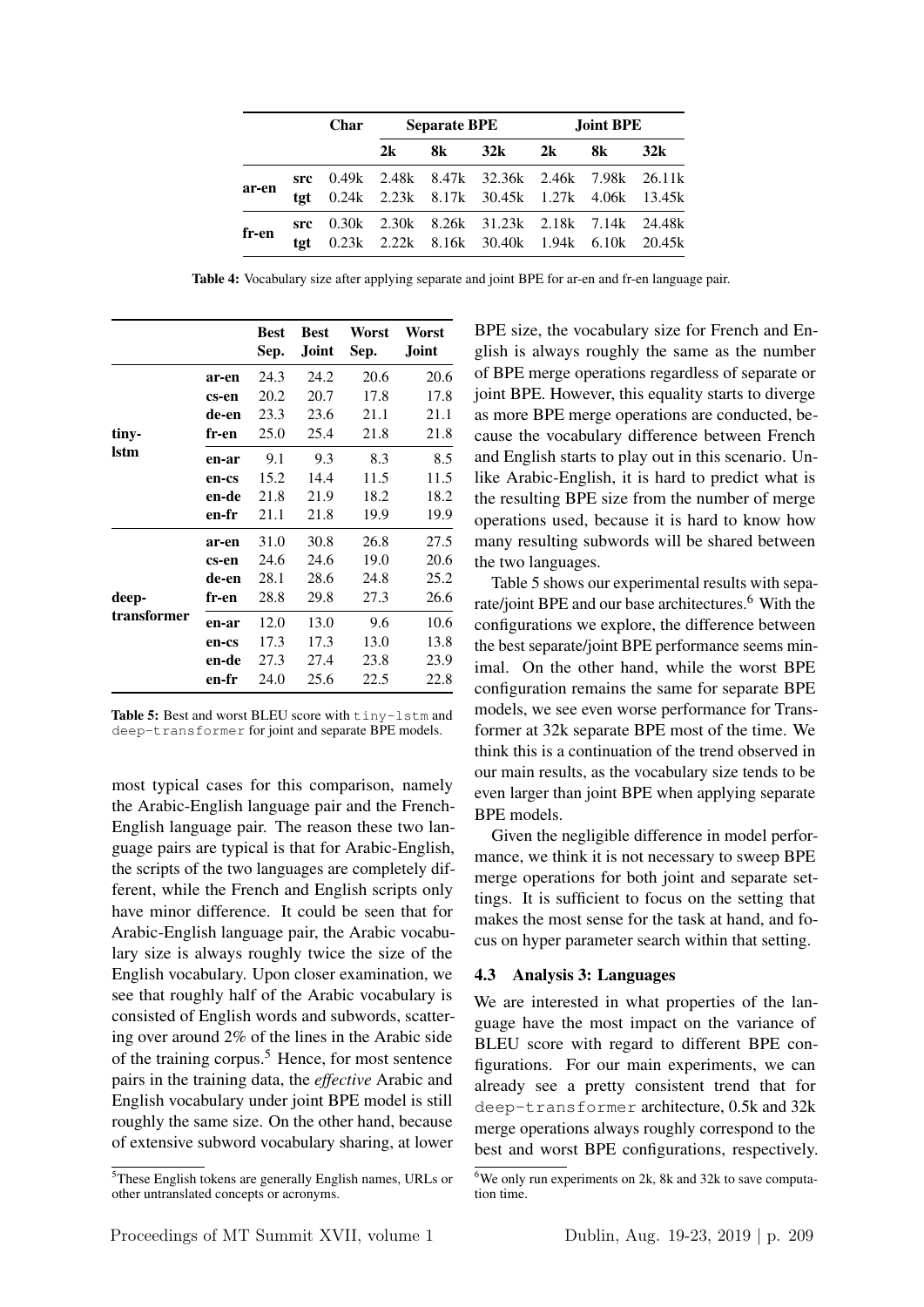|       |             | <b>Char</b> |    | <b>Separate BPE</b> |                                                                                                  | Joint BPE |      |     |  |
|-------|-------------|-------------|----|---------------------|--------------------------------------------------------------------------------------------------|-----------|------|-----|--|
|       |             |             | 2k | 8k                  | $32k$ 2k                                                                                         |           | 8k — | 32k |  |
| ar-en | tøt.        |             |    |                     | $src$ 0.49k 2.48k 8.47k 32.36k 2.46k 7.98k 26.11k<br>0.24k 2.23k 8.17k 30.45k 1.27k 4.06k 13.45k |           |      |     |  |
| fr-en | src<br>tøt. |             |    |                     | 0.30k 2.30k 8.26k 31.23k 2.18k 7.14k 24.48k<br>0.23k 2.22k 8.16k 30.40k 1.94k 6.10k 20.45k       |           |      |     |  |

Table 4: Vocabulary size after applying separate and joint BPE for ar-en and fr-en language pair.

|             |       | <b>Best</b><br>Sep. | <b>Best</b><br>Joint | Worst<br>Sep. | Worst<br>Joint |
|-------------|-------|---------------------|----------------------|---------------|----------------|
|             | ar-en | 24.3                | 24.2                 | 20.6          | 20.6           |
|             | cs-en | 20.2                | 20.7                 | 17.8          | 17.8           |
|             | de-en | 23.3                | 23.6                 | 21.1          | 21.1           |
| tiny-       | fr-en | 25.0                | 25.4                 | 21.8          | 21.8           |
| lstm        | en-ar | 9.1                 | 9.3                  | 8.3           | 8.5            |
|             | en-cs | 15.2                | 14.4                 | 11.5          | 11.5           |
|             | en-de | 21.8                | 21.9                 | 18.2          | 18.2           |
|             | en-fr | 21.1                | 21.8                 | 19.9          | 19.9           |
|             | ar-en | 31.0                | 30.8                 | 26.8          | 27.5           |
|             | cs-en | 24.6                | 24.6                 | 19.0          | 20.6           |
|             | de-en | 28.1                | 28.6                 | 24.8          | 25.2           |
| deep-       | fr-en | 28.8                | 29.8                 | 27.3          | 26.6           |
| transformer | en-ar | 12.0                | 13.0                 | 9.6           | 10.6           |
|             | en-cs | 17.3                | 17.3                 | 13.0          | 13.8           |
|             | en-de | 27.3                | 27.4                 | 23.8          | 23.9           |
|             | en-fr | 24.0                | 25.6                 | 22.5          | 22.8           |

Table 5: Best and worst BLEU score with tiny-lstm and deep-transformer for joint and separate BPE models.

most typical cases for this comparison, namely the Arabic-English language pair and the French-English language pair. The reason these two language pairs are typical is that for Arabic-English, the scripts of the two languages are completely different, while the French and English scripts only have minor difference. It could be seen that for Arabic-English language pair, the Arabic vocabulary size is always roughly twice the size of the English vocabulary. Upon closer examination, we see that roughly half of the Arabic vocabulary is consisted of English words and subwords, scattering over around 2% of the lines in the Arabic side of the training corpus.<sup>5</sup> Hence, for most sentence pairs in the training data, the *effective* Arabic and English vocabulary under joint BPE model is still roughly the same size. On the other hand, because of extensive subword vocabulary sharing, at lower

BPE size, the vocabulary size for French and English is always roughly the same as the number of BPE merge operations regardless of separate or joint BPE. However, this equality starts to diverge as more BPE merge operations are conducted, because the vocabulary difference between French and English starts to play out in this scenario. Unlike Arabic-English, it is hard to predict what is the resulting BPE size from the number of merge operations used, because it is hard to know how many resulting subwords will be shared between the two languages.

Table 5 shows our experimental results with separate/joint BPE and our base architectures.<sup>6</sup> With the configurations we explore, the difference between the best separate/joint BPE performance seems minimal. On the other hand, while the worst BPE configuration remains the same for separate BPE models, we see even worse performance for Transformer at 32k separate BPE most of the time. We think this is a continuation of the trend observed in our main results, as the vocabulary size tends to be even larger than joint BPE when applying separate BPE models.

Given the negligible difference in model performance, we think it is not necessary to sweep BPE merge operations for both joint and separate settings. It is sufficient to focus on the setting that makes the most sense for the task at hand, and focus on hyper parameter search within that setting.

### 4.3 Analysis 3: Languages

We are interested in what properties of the language have the most impact on the variance of BLEU score with regard to different BPE configurations. For our main experiments, we can already see a pretty consistent trend that for deep-transformer architecture, 0.5k and 32k merge operations always roughly correspond to the best and worst BPE configurations, respectively.

<sup>5</sup>These English tokens are generally English names, URLs or other untranslated concepts or acronyms.

<sup>&</sup>lt;sup>6</sup>We only run experiments on 2k, 8k and 32k to save computation time.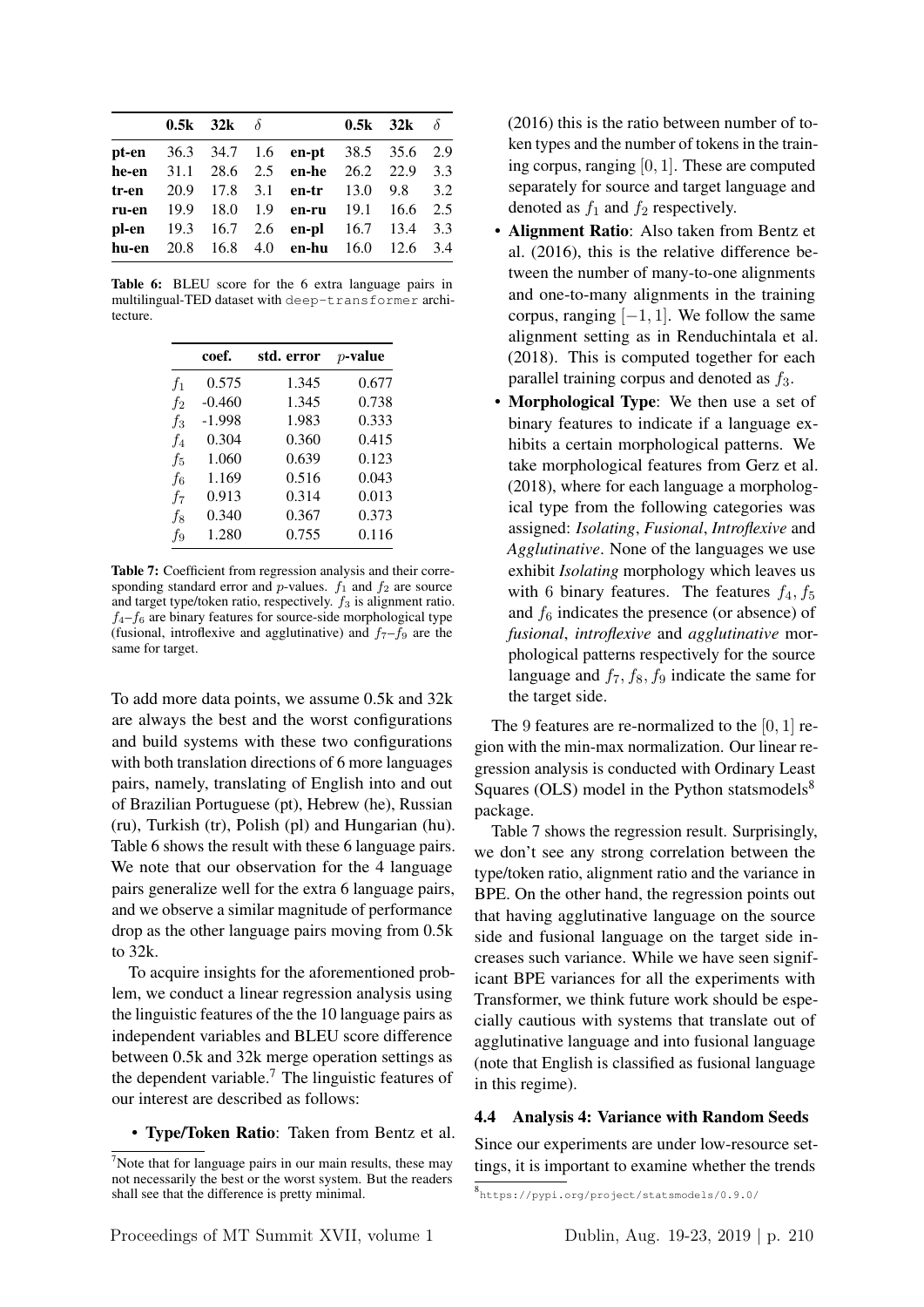|  | 0.5k $32k \delta$ |                                         | 0.5k $32k \delta$ |  |
|--|-------------------|-----------------------------------------|-------------------|--|
|  |                   | pt-en 36.3 34.7 1.6 en-pt 38.5 35.6 2.9 |                   |  |
|  |                   | he-en 31.1 28.6 2.5 en-he 26.2 22.9 3.3 |                   |  |
|  |                   | tr-en 20.9 17.8 3.1 en-tr 13.0 9.8 3.2  |                   |  |
|  |                   | ru-en 19.9 18.0 1.9 en-ru 19.1 16.6 2.5 |                   |  |
|  |                   | pl-en 19.3 16.7 2.6 en-pl 16.7 13.4 3.3 |                   |  |
|  |                   | hu-en 20.8 16.8 4.0 en-hu 16.0 12.6 3.4 |                   |  |
|  |                   |                                         |                   |  |

Table 6: BLEU score for the 6 extra language pairs in multilingual-TED dataset with deep-transformer architecture.

|                | coef.    | std. error | $p$ -value |
|----------------|----------|------------|------------|
| $f_1$          | 0.575    | 1.345      | 0.677      |
| $f_2$          | $-0.460$ | 1.345      | 0.738      |
| $f_3$          | $-1.998$ | 1.983      | 0.333      |
| f <sub>4</sub> | 0.304    | 0.360      | 0.415      |
| $f_5$          | 1.060    | 0.639      | 0.123      |
| $f_6$          | 1.169    | 0.516      | 0.043      |
| $f_7$          | 0.913    | 0.314      | 0.013      |
| f8             | 0.340    | 0.367      | 0.373      |
| f9             | 1.280    | 0.755      | 0.116      |

Table 7: Coefficient from regression analysis and their corresponding standard error and  $p$ -values.  $f_1$  and  $f_2$  are source and target type/token ratio, respectively.  $f_3$  is alignment ratio.  $f_4-f_6$  are binary features for source-side morphological type (fusional, introflexive and agglutinative) and  $f_7-f_9$  are the same for target.

To add more data points, we assume 0.5k and 32k are always the best and the worst configurations and build systems with these two configurations with both translation directions of 6 more languages pairs, namely, translating of English into and out of Brazilian Portuguese (pt), Hebrew (he), Russian (ru), Turkish (tr), Polish (pl) and Hungarian (hu). Table 6 shows the result with these 6 language pairs. We note that our observation for the 4 language pairs generalize well for the extra 6 language pairs, and we observe a similar magnitude of performance drop as the other language pairs moving from 0.5k to 32k.

To acquire insights for the aforementioned problem, we conduct a linear regression analysis using the linguistic features of the the 10 language pairs as independent variables and BLEU score difference between 0.5k and 32k merge operation settings as the dependent variable.<sup>7</sup> The linguistic features of our interest are described as follows:

• Type/Token Ratio: Taken from Bentz et al.

(2016) this is the ratio between number of token types and the number of tokens in the training corpus, ranging [0, 1]. These are computed separately for source and target language and denoted as  $f_1$  and  $f_2$  respectively.

- Alignment Ratio: Also taken from Bentz et al. (2016), this is the relative difference between the number of many-to-one alignments and one-to-many alignments in the training corpus, ranging  $[-1, 1]$ . We follow the same alignment setting as in Renduchintala et al. (2018). This is computed together for each parallel training corpus and denoted as  $f_3$ .
- Morphological Type: We then use a set of binary features to indicate if a language exhibits a certain morphological patterns. We take morphological features from Gerz et al. (2018), where for each language a morphological type from the following categories was assigned: *Isolating*, *Fusional*, *Introflexive* and *Agglutinative*. None of the languages we use exhibit *Isolating* morphology which leaves us with 6 binary features. The features  $f_4, f_5$ and  $f_6$  indicates the presence (or absence) of *fusional*, *introflexive* and *agglutinative* morphological patterns respectively for the source language and  $f_7$ ,  $f_8$ ,  $f_9$  indicate the same for the target side.

The 9 features are re-normalized to the  $[0, 1]$  region with the min-max normalization. Our linear regression analysis is conducted with Ordinary Least Squares (OLS) model in the Python statsmodels $8$ package.

Table 7 shows the regression result. Surprisingly, we don't see any strong correlation between the type/token ratio, alignment ratio and the variance in BPE. On the other hand, the regression points out that having agglutinative language on the source side and fusional language on the target side increases such variance. While we have seen significant BPE variances for all the experiments with Transformer, we think future work should be especially cautious with systems that translate out of agglutinative language and into fusional language (note that English is classified as fusional language in this regime).

### 4.4 Analysis 4: Variance with Random Seeds

Since our experiments are under low-resource settings, it is important to examine whether the trends

 $<sup>7</sup>$ Note that for language pairs in our main results, these may</sup> not necessarily the best or the worst system. But the readers shall see that the difference is pretty minimal.

<sup>8</sup> https://pypi.org/project/statsmodels/0.9.0/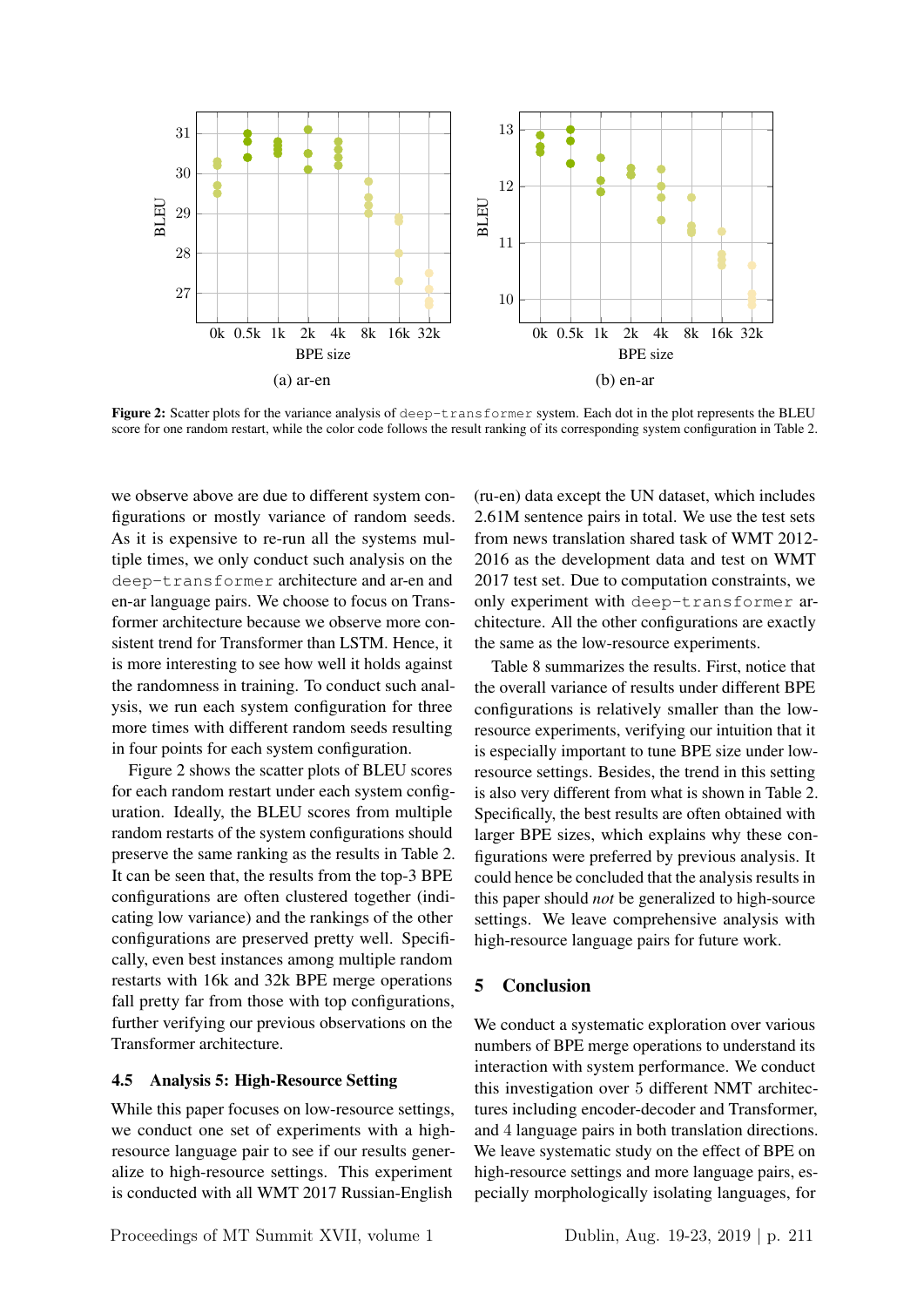

Figure 2: Scatter plots for the variance analysis of deep-transformer system. Each dot in the plot represents the BLEU score for one random restart, while the color code follows the result ranking of its corresponding system configuration in Table 2.

we observe above are due to different system configurations or mostly variance of random seeds. As it is expensive to re-run all the systems multiple times, we only conduct such analysis on the deep-transformer architecture and ar-en and en-ar language pairs. We choose to focus on Transformer architecture because we observe more consistent trend for Transformer than LSTM. Hence, it is more interesting to see how well it holds against the randomness in training. To conduct such analysis, we run each system configuration for three more times with different random seeds resulting in four points for each system configuration.

Figure 2 shows the scatter plots of BLEU scores for each random restart under each system configuration. Ideally, the BLEU scores from multiple random restarts of the system configurations should preserve the same ranking as the results in Table 2. It can be seen that, the results from the top-3 BPE configurations are often clustered together (indicating low variance) and the rankings of the other configurations are preserved pretty well. Specifically, even best instances among multiple random restarts with 16k and 32k BPE merge operations fall pretty far from those with top configurations, further verifying our previous observations on the Transformer architecture.

#### 4.5 Analysis 5: High-Resource Setting

While this paper focuses on low-resource settings, we conduct one set of experiments with a highresource language pair to see if our results generalize to high-resource settings. This experiment is conducted with all WMT 2017 Russian-English

(ru-en) data except the UN dataset, which includes 2.61M sentence pairs in total. We use the test sets from news translation shared task of WMT 2012- 2016 as the development data and test on WMT 2017 test set. Due to computation constraints, we only experiment with deep-transformer architecture. All the other configurations are exactly the same as the low-resource experiments.

Table 8 summarizes the results. First, notice that the overall variance of results under different BPE configurations is relatively smaller than the lowresource experiments, verifying our intuition that it is especially important to tune BPE size under lowresource settings. Besides, the trend in this setting is also very different from what is shown in Table 2. Specifically, the best results are often obtained with larger BPE sizes, which explains why these configurations were preferred by previous analysis. It could hence be concluded that the analysis results in this paper should *not* be generalized to high-source settings. We leave comprehensive analysis with high-resource language pairs for future work.

### 5 Conclusion

We conduct a systematic exploration over various numbers of BPE merge operations to understand its interaction with system performance. We conduct this investigation over 5 different NMT architectures including encoder-decoder and Transformer, and 4 language pairs in both translation directions. We leave systematic study on the effect of BPE on high-resource settings and more language pairs, especially morphologically isolating languages, for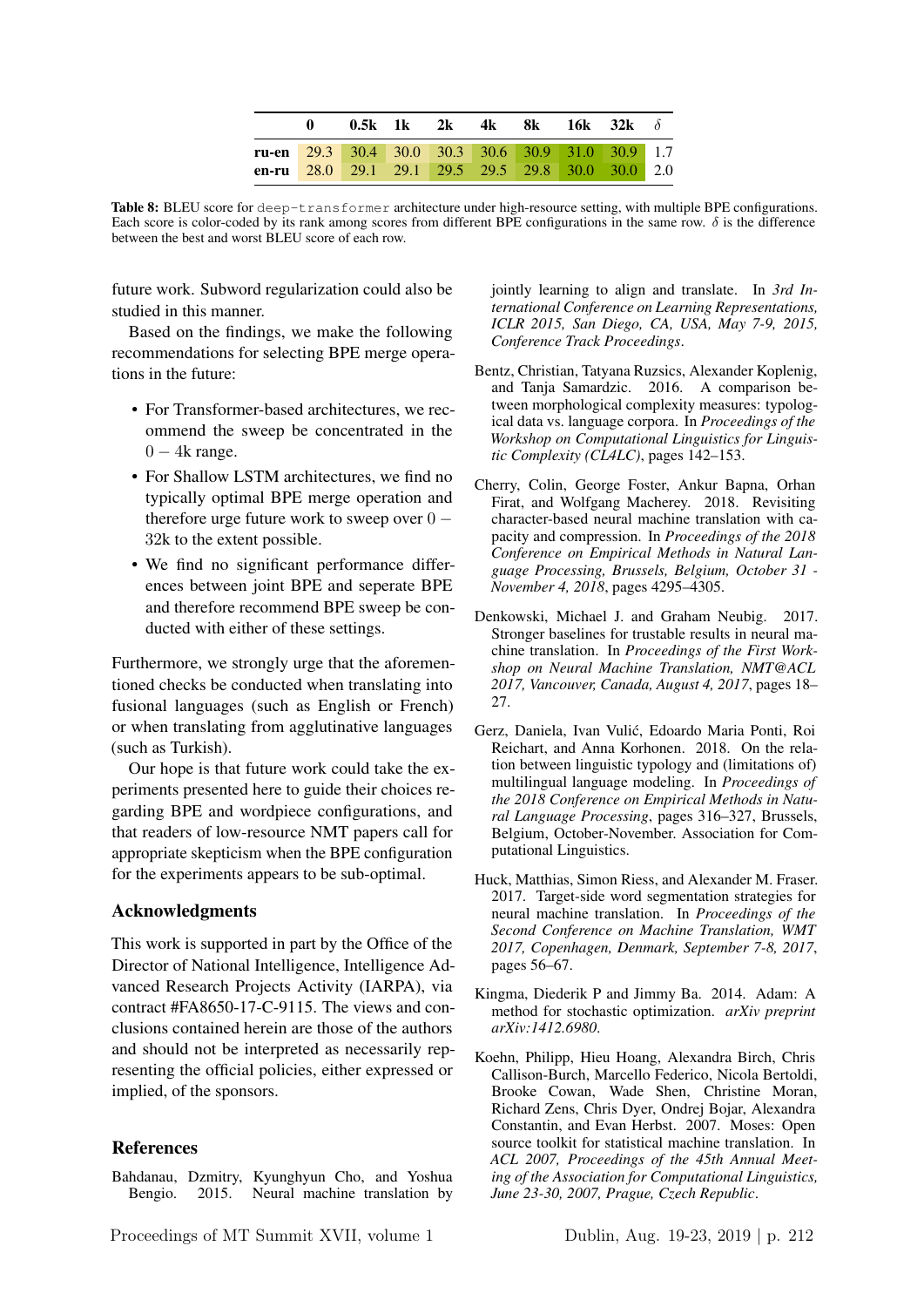|                                                          | <b>0.5k 1k 2k 4k 8k 16k 32k</b> $\delta$ |  |  |  |  |
|----------------------------------------------------------|------------------------------------------|--|--|--|--|
| <b>ru-en</b> 29.3 30.4 30.0 30.3 30.6 30.9 31.0 30.9 1.7 |                                          |  |  |  |  |
| en-ru 28.0 29.1 29.1 29.5 29.5 29.8 30.0 30.0 2.0        |                                          |  |  |  |  |

Table 8: BLEU score for deep-transformer architecture under high-resource setting, with multiple BPE configurations. Each score is color-coded by its rank among scores from different BPE configurations in the same row.  $\delta$  is the difference between the best and worst BLEU score of each row.

future work. Subword regularization could also be studied in this manner.

Based on the findings, we make the following recommendations for selecting BPE merge operations in the future:

- For Transformer-based architectures, we recommend the sweep be concentrated in the  $0 - 4k$  range.
- For Shallow LSTM architectures, we find no typically optimal BPE merge operation and therefore urge future work to sweep over  $0 -$ 32k to the extent possible.
- We find no significant performance differences between joint BPE and seperate BPE and therefore recommend BPE sweep be conducted with either of these settings.

Furthermore, we strongly urge that the aforementioned checks be conducted when translating into fusional languages (such as English or French) or when translating from agglutinative languages (such as Turkish).

Our hope is that future work could take the experiments presented here to guide their choices regarding BPE and wordpiece configurations, and that readers of low-resource NMT papers call for appropriate skepticism when the BPE configuration for the experiments appears to be sub-optimal.

### Acknowledgments

This work is supported in part by the Office of the Director of National Intelligence, Intelligence Advanced Research Projects Activity (IARPA), via contract #FA8650-17-C-9115. The views and conclusions contained herein are those of the authors and should not be interpreted as necessarily representing the official policies, either expressed or implied, of the sponsors.

#### References

Bahdanau, Dzmitry, Kyunghyun Cho, and Yoshua Bengio. 2015. Neural machine translation by jointly learning to align and translate. In *3rd International Conference on Learning Representations, ICLR 2015, San Diego, CA, USA, May 7-9, 2015, Conference Track Proceedings*.

- Bentz, Christian, Tatyana Ruzsics, Alexander Koplenig, and Tanja Samardzic. 2016. A comparison between morphological complexity measures: typological data vs. language corpora. In *Proceedings of the Workshop on Computational Linguistics for Linguistic Complexity (CL4LC)*, pages 142–153.
- Cherry, Colin, George Foster, Ankur Bapna, Orhan Firat, and Wolfgang Macherey. 2018. Revisiting character-based neural machine translation with capacity and compression. In *Proceedings of the 2018 Conference on Empirical Methods in Natural Language Processing, Brussels, Belgium, October 31 - November 4, 2018*, pages 4295–4305.
- Denkowski, Michael J. and Graham Neubig. 2017. Stronger baselines for trustable results in neural machine translation. In *Proceedings of the First Workshop on Neural Machine Translation, NMT@ACL 2017, Vancouver, Canada, August 4, 2017*, pages 18– 27.
- Gerz, Daniela, Ivan Vulic, Edoardo Maria Ponti, Roi ´ Reichart, and Anna Korhonen. 2018. On the relation between linguistic typology and (limitations of) multilingual language modeling. In *Proceedings of the 2018 Conference on Empirical Methods in Natural Language Processing*, pages 316–327, Brussels, Belgium, October-November. Association for Computational Linguistics.
- Huck, Matthias, Simon Riess, and Alexander M. Fraser. 2017. Target-side word segmentation strategies for neural machine translation. In *Proceedings of the Second Conference on Machine Translation, WMT 2017, Copenhagen, Denmark, September 7-8, 2017*, pages 56–67.
- Kingma, Diederik P and Jimmy Ba. 2014. Adam: A method for stochastic optimization. *arXiv preprint arXiv:1412.6980*.
- Koehn, Philipp, Hieu Hoang, Alexandra Birch, Chris Callison-Burch, Marcello Federico, Nicola Bertoldi, Brooke Cowan, Wade Shen, Christine Moran, Richard Zens, Chris Dyer, Ondrej Bojar, Alexandra Constantin, and Evan Herbst. 2007. Moses: Open source toolkit for statistical machine translation. In *ACL 2007, Proceedings of the 45th Annual Meeting of the Association for Computational Linguistics, June 23-30, 2007, Prague, Czech Republic*.